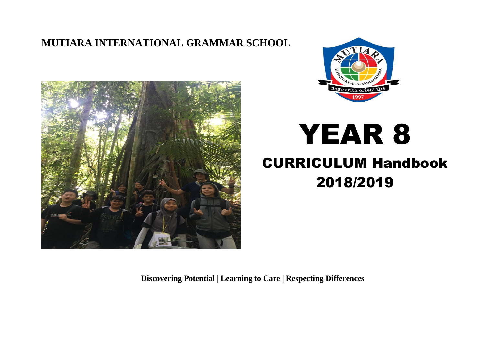### **MUTIARA INTERNATIONAL GRAMMAR SCHOOL**





# YEAR 8

# CURRICULUM Handbook 2018/2019

**Discovering Potential | Learning to Care | Respecting Differences**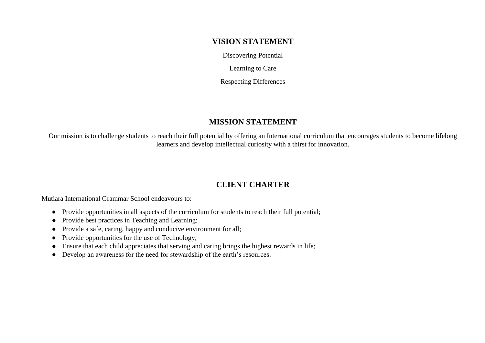#### **VISION STATEMENT**

Discovering Potential

Learning to Care

Respecting Differences

#### **MISSION STATEMENT**

Our mission is to challenge students to reach their full potential by offering an International curriculum that encourages students to become lifelong learners and develop intellectual curiosity with a thirst for innovation.

#### **CLIENT CHARTER**

Mutiara International Grammar School endeavours to:

- Provide opportunities in all aspects of the curriculum for students to reach their full potential;
- Provide best practices in Teaching and Learning;
- Provide a safe, caring, happy and conducive environment for all;
- Provide opportunities for the use of Technology;
- Ensure that each child appreciates that serving and caring brings the highest rewards in life;
- Develop an awareness for the need for stewardship of the earth's resources.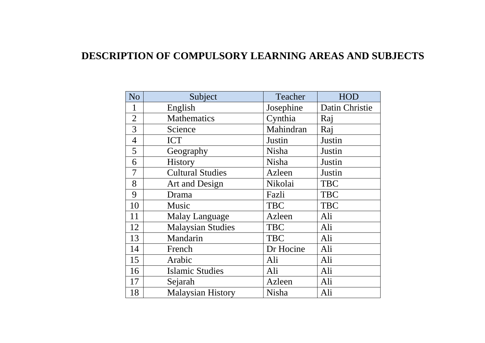## **DESCRIPTION OF COMPULSORY LEARNING AREAS AND SUBJECTS**

| N <sub>o</sub> | Subject                  | Teacher      | <b>HOD</b>     |
|----------------|--------------------------|--------------|----------------|
| 1              | English                  | Josephine    | Datin Christie |
| $\overline{2}$ | <b>Mathematics</b>       | Cynthia      | Raj            |
| 3              | Science                  | Mahindran    | Raj            |
| $\overline{4}$ | <b>ICT</b>               | Justin       | Justin         |
| 5              | Geography                | Nisha        | Justin         |
| 6              | History                  | <b>Nisha</b> | Justin         |
| 7              | <b>Cultural Studies</b>  | Azleen       | Justin         |
| 8              | Art and Design           | Nikolai      | <b>TBC</b>     |
| 9              | Drama                    | Fazli        | <b>TBC</b>     |
| 10             | Music                    | <b>TBC</b>   | <b>TBC</b>     |
| 11             | <b>Malay Language</b>    | Azleen       | Ali            |
| 12             | <b>Malaysian Studies</b> | <b>TBC</b>   | Ali            |
| 13             | Mandarin                 | <b>TBC</b>   | Ali            |
| 14             | French                   | Dr Hocine    | Ali            |
| 15             | Arabic                   | Ali          | Ali            |
| 16             | <b>Islamic Studies</b>   | Ali          | Ali            |
| 17             | Sejarah                  | Azleen       | Ali            |
| 18             | <b>Malaysian History</b> | Nisha        | Ali            |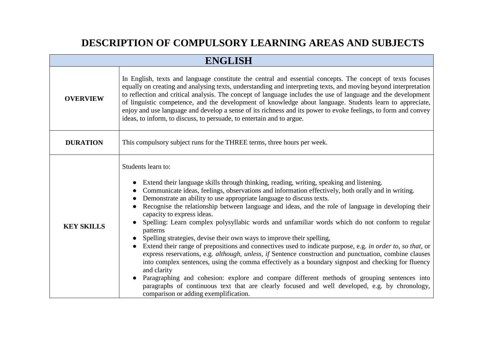# **DESCRIPTION OF COMPULSORY LEARNING AREAS AND SUBJECTS**

| <b>ENGLISH</b>    |                                                                                                                                                                                                                                                                                                                                                                                                                                                                                                                                                                                                                                                                                                                                                                                                                                                                                                                                                                                                                                                                                                                                                                                                                                                    |  |
|-------------------|----------------------------------------------------------------------------------------------------------------------------------------------------------------------------------------------------------------------------------------------------------------------------------------------------------------------------------------------------------------------------------------------------------------------------------------------------------------------------------------------------------------------------------------------------------------------------------------------------------------------------------------------------------------------------------------------------------------------------------------------------------------------------------------------------------------------------------------------------------------------------------------------------------------------------------------------------------------------------------------------------------------------------------------------------------------------------------------------------------------------------------------------------------------------------------------------------------------------------------------------------|--|
| <b>OVERVIEW</b>   | In English, texts and language constitute the central and essential concepts. The concept of texts focuses<br>equally on creating and analysing texts, understanding and interpreting texts, and moving beyond interpretation<br>to reflection and critical analysis. The concept of language includes the use of language and the development<br>of linguistic competence, and the development of knowledge about language. Students learn to appreciate,<br>enjoy and use language and develop a sense of its richness and its power to evoke feelings, to form and convey<br>ideas, to inform, to discuss, to persuade, to entertain and to argue.                                                                                                                                                                                                                                                                                                                                                                                                                                                                                                                                                                                              |  |
| <b>DURATION</b>   | This compulsory subject runs for the THREE terms, three hours per week.                                                                                                                                                                                                                                                                                                                                                                                                                                                                                                                                                                                                                                                                                                                                                                                                                                                                                                                                                                                                                                                                                                                                                                            |  |
| <b>KEY SKILLS</b> | Students learn to:<br>Extend their language skills through thinking, reading, writing, speaking and listening.<br>Communicate ideas, feelings, observations and information effectively, both orally and in writing.<br>Demonstrate an ability to use appropriate language to discuss texts.<br>Recognise the relationship between language and ideas, and the role of language in developing their<br>$\bullet$<br>capacity to express ideas.<br>Spelling: Learn complex polysyllabic words and unfamiliar words which do not conform to regular<br>patterns<br>Spelling strategies, devise their own ways to improve their spelling,<br>Extend their range of prepositions and connectives used to indicate purpose, e.g. in order to, so that, or<br>$\bullet$<br>express reservations, e.g. <i>although, unless, if</i> Sentence construction and punctuation, combine clauses<br>into complex sentences, using the comma effectively as a boundary signpost and checking for fluency<br>and clarity<br>Paragraphing and cohesion: explore and compare different methods of grouping sentences into<br>paragraphs of continuous text that are clearly focused and well developed, e.g. by chronology,<br>comparison or adding exemplification. |  |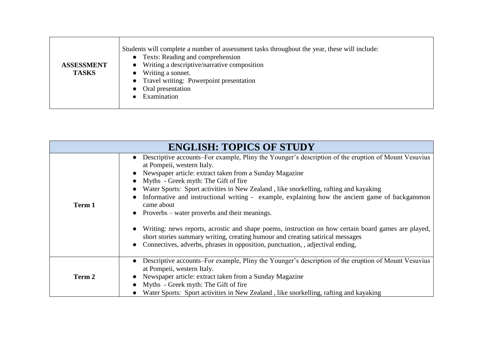| <b>ASSESSMENT</b><br><b>TASKS</b> | Students will complete a number of assessment tasks throughout the year, these will include:<br>• Texts: Reading and comprehension<br>$\bullet$ Writing a descriptive/narrative composition<br>• Writing a sonnet.<br>• Travel writing: Powerpoint presentation<br>• Oral presentation<br>Examination |
|-----------------------------------|-------------------------------------------------------------------------------------------------------------------------------------------------------------------------------------------------------------------------------------------------------------------------------------------------------|
|-----------------------------------|-------------------------------------------------------------------------------------------------------------------------------------------------------------------------------------------------------------------------------------------------------------------------------------------------------|

| <b>ENGLISH: TOPICS OF STUDY</b> |                                                                                                                                                                                                                                                                                                                                                                                                                                                                                                                                                                                                                                                                                                                                                                                        |  |
|---------------------------------|----------------------------------------------------------------------------------------------------------------------------------------------------------------------------------------------------------------------------------------------------------------------------------------------------------------------------------------------------------------------------------------------------------------------------------------------------------------------------------------------------------------------------------------------------------------------------------------------------------------------------------------------------------------------------------------------------------------------------------------------------------------------------------------|--|
| Term 1                          | Descriptive accounts–For example, Pliny the Younger's description of the eruption of Mount Vesuvius<br>at Pompeii, western Italy.<br>Newspaper article: extract taken from a Sunday Magazine<br>Myths - Greek myth: The Gift of fire<br>Water Sports: Sport activities in New Zealand, like snorkelling, rafting and kayaking<br>Informative and instructional writing - example, explaining how the ancient game of backgammon<br>came about<br>Proverbs – water proverbs and their meanings.<br>$\bullet$<br>Writing: news reports, acrostic and shape poems, instruction on how certain board games are played,<br>short stories summary writing, creating humour and creating satirical messages<br>Connectives, adverbs, phrases in opposition, punctuation, , adjectival ending, |  |
| Term 2                          | Descriptive accounts–For example, Pliny the Younger's description of the eruption of Mount Vesuvius<br>at Pompeii, western Italy.<br>Newspaper article: extract taken from a Sunday Magazine<br>Myths - Greek myth: The Gift of fire<br>Water Sports: Sport activities in New Zealand, like snorkelling, rafting and kayaking                                                                                                                                                                                                                                                                                                                                                                                                                                                          |  |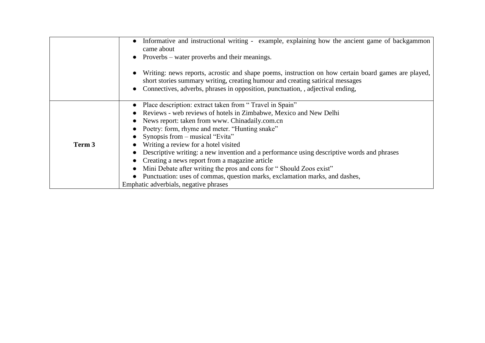|        | Informative and instructional writing - example, explaining how the ancient game of backgammon<br>$\bullet$<br>came about<br>Proverbs – water proverbs and their meanings.<br>Writing: news reports, acrostic and shape poems, instruction on how certain board games are played,<br>short stories summary writing, creating humour and creating satirical messages<br>Connectives, adverbs, phrases in opposition, punctuation, adjectival ending,                                                                                                                                                                                                        |
|--------|------------------------------------------------------------------------------------------------------------------------------------------------------------------------------------------------------------------------------------------------------------------------------------------------------------------------------------------------------------------------------------------------------------------------------------------------------------------------------------------------------------------------------------------------------------------------------------------------------------------------------------------------------------|
| Term 3 | Place description: extract taken from "Travel in Spain"<br>Reviews - web reviews of hotels in Zimbabwe, Mexico and New Delhi<br>News report: taken from www. Chinadaily.com.cn<br>Poetry: form, rhyme and meter. "Hunting snake"<br>Synopsis from – musical "Evita"<br>Writing a review for a hotel visited<br>Descriptive writing: a new invention and a performance using descriptive words and phrases<br>Creating a news report from a magazine article<br>Mini Debate after writing the pros and cons for "Should Zoos exist"<br>Punctuation: uses of commas, question marks, exclamation marks, and dashes,<br>Emphatic adverbials, negative phrases |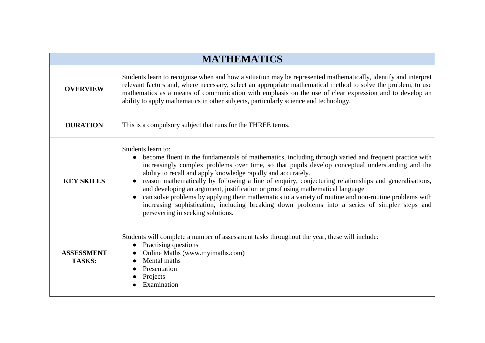| <b>MATHEMATICS</b>                 |                                                                                                                                                                                                                                                                                                                                                                                                                                                                                                                                                                                                                                                                                                                                                             |  |
|------------------------------------|-------------------------------------------------------------------------------------------------------------------------------------------------------------------------------------------------------------------------------------------------------------------------------------------------------------------------------------------------------------------------------------------------------------------------------------------------------------------------------------------------------------------------------------------------------------------------------------------------------------------------------------------------------------------------------------------------------------------------------------------------------------|--|
| <b>OVERVIEW</b>                    | Students learn to recognise when and how a situation may be represented mathematically, identify and interpret<br>relevant factors and, where necessary, select an appropriate mathematical method to solve the problem, to use<br>mathematics as a means of communication with emphasis on the use of clear expression and to develop an<br>ability to apply mathematics in other subjects, particularly science and technology.                                                                                                                                                                                                                                                                                                                           |  |
| <b>DURATION</b>                    | This is a compulsory subject that runs for the THREE terms.                                                                                                                                                                                                                                                                                                                                                                                                                                                                                                                                                                                                                                                                                                 |  |
| <b>KEY SKILLS</b>                  | Students learn to:<br>• become fluent in the fundamentals of mathematics, including through varied and frequent practice with<br>increasingly complex problems over time, so that pupils develop conceptual understanding and the<br>ability to recall and apply knowledge rapidly and accurately.<br>reason mathematically by following a line of enquiry, conjecturing relationships and generalisations,<br>and developing an argument, justification or proof using mathematical language<br>can solve problems by applying their mathematics to a variety of routine and non-routine problems with<br>$\bullet$<br>increasing sophistication, including breaking down problems into a series of simpler steps and<br>persevering in seeking solutions. |  |
| <b>ASSESSMENT</b><br><b>TASKS:</b> | Students will complete a number of assessment tasks throughout the year, these will include:<br>Practising questions<br>Online Maths (www.myimaths.com)<br>Mental maths<br>Presentation<br>Projects<br>Examination                                                                                                                                                                                                                                                                                                                                                                                                                                                                                                                                          |  |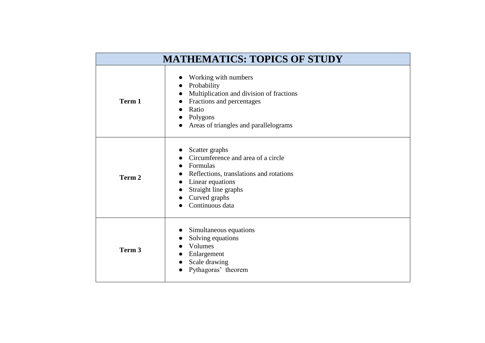| <b>MATHEMATICS: TOPICS OF STUDY</b> |                                                                                                                                                                                             |  |
|-------------------------------------|---------------------------------------------------------------------------------------------------------------------------------------------------------------------------------------------|--|
| Term 1                              | Working with numbers<br>Probability<br>Multiplication and division of fractions<br>Fractions and percentages<br>Ratio<br>Polygons<br>Areas of triangles and parallelograms                  |  |
| Term 2                              | Scatter graphs<br>Circumference and area of a circle<br>Formulas<br>Reflections, translations and rotations<br>Linear equations<br>Straight line graphs<br>Curved graphs<br>Continuous data |  |
| Term 3                              | Simultaneous equations<br>Solving equations<br>Volumes<br>Enlargement<br>Scale drawing<br>Pythagoras' theorem                                                                               |  |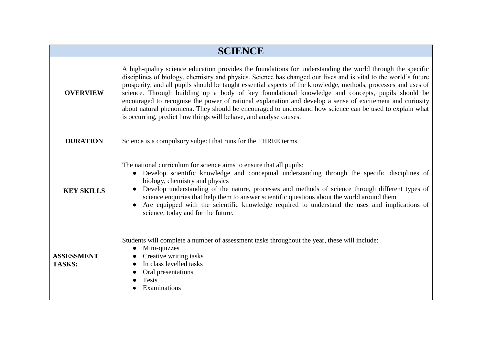| <b>SCIENCE</b>                     |                                                                                                                                                                                                                                                                                                                                                                                                                                                                                                                                                                                                                                                                                                                                                   |  |
|------------------------------------|---------------------------------------------------------------------------------------------------------------------------------------------------------------------------------------------------------------------------------------------------------------------------------------------------------------------------------------------------------------------------------------------------------------------------------------------------------------------------------------------------------------------------------------------------------------------------------------------------------------------------------------------------------------------------------------------------------------------------------------------------|--|
| <b>OVERVIEW</b>                    | A high-quality science education provides the foundations for understanding the world through the specific<br>disciplines of biology, chemistry and physics. Science has changed our lives and is vital to the world's future<br>prosperity, and all pupils should be taught essential aspects of the knowledge, methods, processes and uses of<br>science. Through building up a body of key foundational knowledge and concepts, pupils should be<br>encouraged to recognise the power of rational explanation and develop a sense of excitement and curiosity<br>about natural phenomena. They should be encouraged to understand how science can be used to explain what<br>is occurring, predict how things will behave, and analyse causes. |  |
| <b>DURATION</b>                    | Science is a compulsory subject that runs for the THREE terms.                                                                                                                                                                                                                                                                                                                                                                                                                                                                                                                                                                                                                                                                                    |  |
| <b>KEY SKILLS</b>                  | The national curriculum for science aims to ensure that all pupils:<br>Develop scientific knowledge and conceptual understanding through the specific disciplines of<br>biology, chemistry and physics<br>Develop understanding of the nature, processes and methods of science through different types of<br>science enquiries that help them to answer scientific questions about the world around them<br>Are equipped with the scientific knowledge required to understand the uses and implications of<br>science, today and for the future.                                                                                                                                                                                                 |  |
| <b>ASSESSMENT</b><br><b>TASKS:</b> | Students will complete a number of assessment tasks throughout the year, these will include:<br>Mini-quizzes<br>$\bullet$<br>Creative writing tasks<br>In class levelled tasks<br>Oral presentations<br><b>Tests</b><br>Examinations                                                                                                                                                                                                                                                                                                                                                                                                                                                                                                              |  |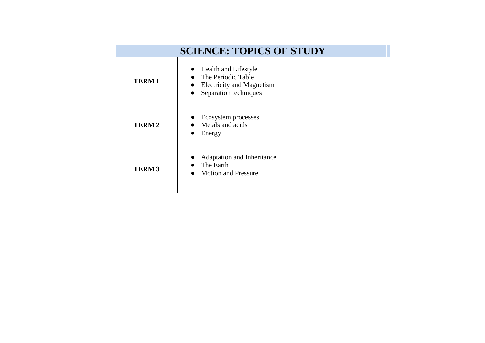| <b>SCIENCE: TOPICS OF STUDY</b> |                                                                                                                 |  |
|---------------------------------|-----------------------------------------------------------------------------------------------------------------|--|
| <b>TERM1</b>                    | Health and Lifestyle<br>$\bullet$<br>The Periodic Table<br>• Electricity and Magnetism<br>Separation techniques |  |
| <b>TERM2</b>                    | Ecosystem processes<br>Metals and acids<br>Energy                                                               |  |
| <b>TERM3</b>                    | Adaptation and Inheritance<br>The Earth<br><b>Motion and Pressure</b>                                           |  |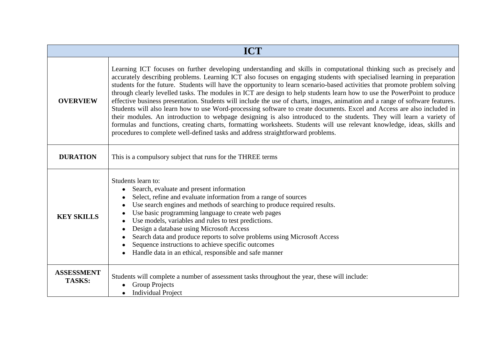| <b>ICT</b>                         |                                                                                                                                                                                                                                                                                                                                                                                                                                                                                                                                                                                                                                                                                                                                                                                                                                                                                                                                                                                                                                                                                                              |  |
|------------------------------------|--------------------------------------------------------------------------------------------------------------------------------------------------------------------------------------------------------------------------------------------------------------------------------------------------------------------------------------------------------------------------------------------------------------------------------------------------------------------------------------------------------------------------------------------------------------------------------------------------------------------------------------------------------------------------------------------------------------------------------------------------------------------------------------------------------------------------------------------------------------------------------------------------------------------------------------------------------------------------------------------------------------------------------------------------------------------------------------------------------------|--|
| <b>OVERVIEW</b>                    | Learning ICT focuses on further developing understanding and skills in computational thinking such as precisely and<br>accurately describing problems. Learning ICT also focuses on engaging students with specialised learning in preparation<br>students for the future. Students will have the opportunity to learn scenario-based activities that promote problem solving<br>through clearly levelled tasks. The modules in ICT are design to help students learn how to use the PowerPoint to produce<br>effective business presentation. Students will include the use of charts, images, animation and a range of software features.<br>Students will also learn how to use Word-processing software to create documents. Excel and Access are also included in<br>their modules. An introduction to webpage designing is also introduced to the students. They will learn a variety of<br>formulas and functions, creating charts, formatting worksheets. Students will use relevant knowledge, ideas, skills and<br>procedures to complete well-defined tasks and address straightforward problems. |  |
| <b>DURATION</b>                    | This is a compulsory subject that runs for the THREE terms                                                                                                                                                                                                                                                                                                                                                                                                                                                                                                                                                                                                                                                                                                                                                                                                                                                                                                                                                                                                                                                   |  |
| <b>KEY SKILLS</b>                  | Students learn to:<br>Search, evaluate and present information<br>Select, refine and evaluate information from a range of sources<br>Use search engines and methods of searching to produce required results.<br>Use basic programming language to create web pages<br>Use models, variables and rules to test predictions.<br>Design a database using Microsoft Access<br>Search data and produce reports to solve problems using Microsoft Access<br>Sequence instructions to achieve specific outcomes<br>Handle data in an ethical, responsible and safe manner                                                                                                                                                                                                                                                                                                                                                                                                                                                                                                                                          |  |
| <b>ASSESSMENT</b><br><b>TASKS:</b> | Students will complete a number of assessment tasks throughout the year, these will include:<br><b>Group Projects</b><br><b>Individual Project</b>                                                                                                                                                                                                                                                                                                                                                                                                                                                                                                                                                                                                                                                                                                                                                                                                                                                                                                                                                           |  |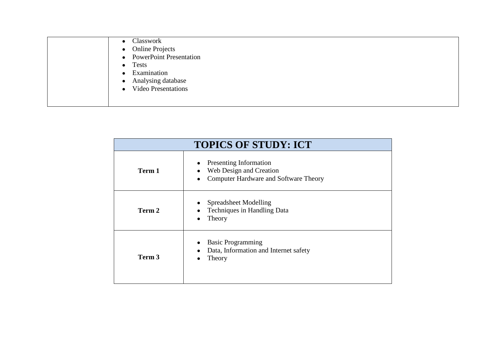| • Classwork                             |
|-----------------------------------------|
| • Online Projects                       |
| • PowerPoint Presentation               |
| $\bullet$ Tests                         |
| Examination                             |
| • Analysing database                    |
| <b>Video Presentations</b><br>$\bullet$ |
|                                         |

| <b>TOPICS OF STUDY: ICT</b> |                                                                                                          |
|-----------------------------|----------------------------------------------------------------------------------------------------------|
| Term 1                      | <b>Presenting Information</b><br>Web Design and Creation<br><b>Computer Hardware and Software Theory</b> |
| Term 2                      | <b>Spreadsheet Modelling</b><br>Techniques in Handling Data<br>Theory                                    |
| Term 3                      | <b>Basic Programming</b><br>Data, Information and Internet safety<br>Theory                              |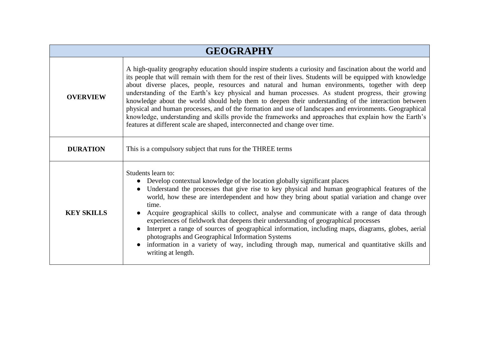| <b>GEOGRAPHY</b>  |                                                                                                                                                                                                                                                                                                                                                                                                                                                                                                                                                                                                                                                                                                                                                                                                                                              |
|-------------------|----------------------------------------------------------------------------------------------------------------------------------------------------------------------------------------------------------------------------------------------------------------------------------------------------------------------------------------------------------------------------------------------------------------------------------------------------------------------------------------------------------------------------------------------------------------------------------------------------------------------------------------------------------------------------------------------------------------------------------------------------------------------------------------------------------------------------------------------|
| <b>OVERVIEW</b>   | A high-quality geography education should inspire students a curiosity and fascination about the world and<br>its people that will remain with them for the rest of their lives. Students will be equipped with knowledge<br>about diverse places, people, resources and natural and human environments, together with deep<br>understanding of the Earth's key physical and human processes. As student progress, their growing<br>knowledge about the world should help them to deepen their understanding of the interaction between<br>physical and human processes, and of the formation and use of landscapes and environments. Geographical<br>knowledge, understanding and skills provide the frameworks and approaches that explain how the Earth's<br>features at different scale are shaped, interconnected and change over time. |
| <b>DURATION</b>   | This is a compulsory subject that runs for the THREE terms                                                                                                                                                                                                                                                                                                                                                                                                                                                                                                                                                                                                                                                                                                                                                                                   |
| <b>KEY SKILLS</b> | Students learn to:<br>• Develop contextual knowledge of the location globally significant places<br>Understand the processes that give rise to key physical and human geographical features of the<br>$\bullet$<br>world, how these are interdependent and how they bring about spatial variation and change over<br>time.<br>Acquire geographical skills to collect, analyse and communicate with a range of data through<br>experiences of fieldwork that deepens their understanding of geographical processes<br>Interpret a range of sources of geographical information, including maps, diagrams, globes, aerial<br>photographs and Geographical Information Systems<br>information in a variety of way, including through map, numerical and quantitative skills and<br>writing at length.                                           |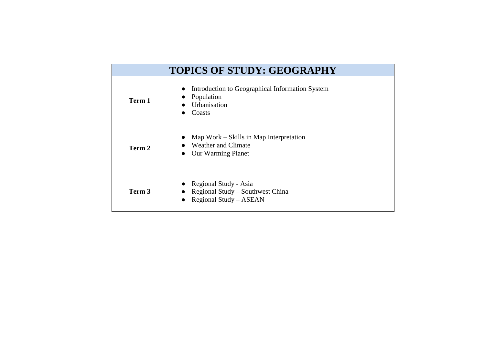| <b>TOPICS OF STUDY: GEOGRAPHY</b> |                                                                                             |
|-----------------------------------|---------------------------------------------------------------------------------------------|
| Term 1                            | Introduction to Geographical Information System<br>Population<br>Urbanisation<br>Coasts     |
| Term 2                            | Map Work – Skills in Map Interpretation<br>Weather and Climate<br><b>Our Warming Planet</b> |
| Term 3                            | Regional Study - Asia<br>Regional Study – Southwest China<br>Regional Study - ASEAN         |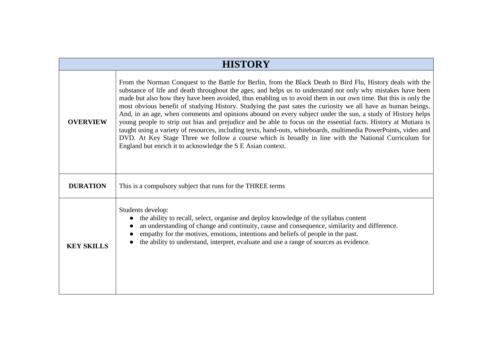| <b>HISTORY</b>    |                                                                                                                                                                                                                                                                                                                                                                                                                                                                                                                                                                                                                                                                                                                                                                                                                                                                                                                                                                                         |  |
|-------------------|-----------------------------------------------------------------------------------------------------------------------------------------------------------------------------------------------------------------------------------------------------------------------------------------------------------------------------------------------------------------------------------------------------------------------------------------------------------------------------------------------------------------------------------------------------------------------------------------------------------------------------------------------------------------------------------------------------------------------------------------------------------------------------------------------------------------------------------------------------------------------------------------------------------------------------------------------------------------------------------------|--|
| <b>OVERVIEW</b>   | From the Norman Conquest to the Battle for Berlin, from the Black Death to Bird Flu, History deals with the<br>substance of life and death throughout the ages, and helps us to understand not only why mistakes have been<br>made but also how they have been avoided, thus enabling us to avoid them in our own time. But this is only the<br>most obvious benefit of studying History. Studying the past sates the curiosity we all have as human beings.<br>And, in an age, when comments and opinions abound on every subject under the sun, a study of History helps<br>young people to strip out bias and prejudice and be able to focus on the essential facts. History at Mutiara is<br>taught using a variety of resources, including texts, hand-outs, whiteboards, multimedia PowerPoints, video and<br>DVD. At Key Stage Three we follow a course which is broadly in line with the National Curriculum for<br>England but enrich it to acknowledge the S E Asian context. |  |
| <b>DURATION</b>   | This is a compulsory subject that runs for the THREE terms                                                                                                                                                                                                                                                                                                                                                                                                                                                                                                                                                                                                                                                                                                                                                                                                                                                                                                                              |  |
| <b>KEY SKILLS</b> | Students develop:<br>the ability to recall, select, organise and deploy knowledge of the syllabus content<br>an understanding of change and continuity, cause and consequence, similarity and difference.<br>empathy for the motives, emotions, intentions and beliefs of people in the past.<br>the ability to understand, interpret, evaluate and use a range of sources as evidence.                                                                                                                                                                                                                                                                                                                                                                                                                                                                                                                                                                                                 |  |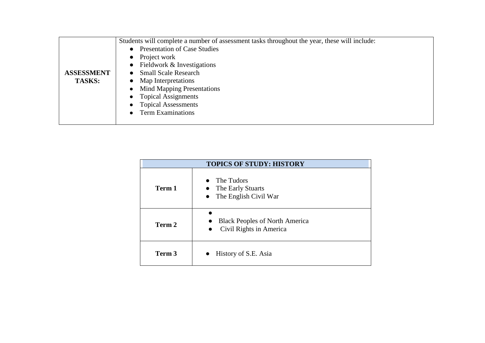|                   | Students will complete a number of assessment tasks throughout the year, these will include: |
|-------------------|----------------------------------------------------------------------------------------------|
|                   | • Presentation of Case Studies                                                               |
|                   | $\bullet$ Project work                                                                       |
|                   | • Fieldwork $&$ Investigations                                                               |
| <b>ASSESSMENT</b> | <b>Small Scale Research</b><br>$\bullet$                                                     |
| <b>TASKS:</b>     | • Map Interpretations                                                                        |
|                   | • Mind Mapping Presentations                                                                 |
|                   | • Topical Assignments                                                                        |
|                   | <b>Topical Assessments</b>                                                                   |
|                   | • Term Examinations                                                                          |
|                   |                                                                                              |

| <b>TOPICS OF STUDY: HISTORY</b> |                                                                               |
|---------------------------------|-------------------------------------------------------------------------------|
| Term 1                          | The Tudors<br>• The Early Stuarts<br>The English Civil War<br>$\bullet$       |
| Term 2                          | <b>Black Peoples of North America</b><br>Civil Rights in America<br>$\bullet$ |
| Term 3                          | History of S.E. Asia                                                          |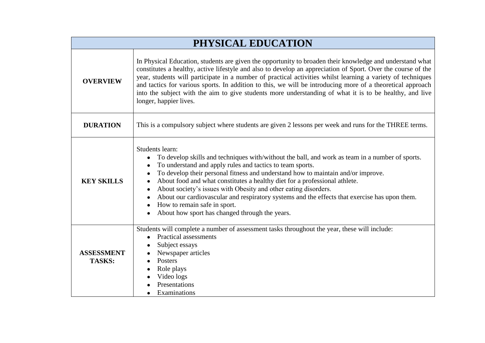| PHYSICAL EDUCATION                 |                                                                                                                                                                                                                                                                                                                                                                                                                                                                                                                                                                                                                                                                          |
|------------------------------------|--------------------------------------------------------------------------------------------------------------------------------------------------------------------------------------------------------------------------------------------------------------------------------------------------------------------------------------------------------------------------------------------------------------------------------------------------------------------------------------------------------------------------------------------------------------------------------------------------------------------------------------------------------------------------|
| <b>OVERVIEW</b>                    | In Physical Education, students are given the opportunity to broaden their knowledge and understand what<br>constitutes a healthy, active lifestyle and also to develop an appreciation of Sport. Over the course of the<br>year, students will participate in a number of practical activities whilst learning a variety of techniques<br>and tactics for various sports. In addition to this, we will be introducing more of a theoretical approach<br>into the subject with the aim to give students more understanding of what it is to be healthy, and live<br>longer, happier lives.                                                                               |
| <b>DURATION</b>                    | This is a compulsory subject where students are given 2 lessons per week and runs for the THREE terms.                                                                                                                                                                                                                                                                                                                                                                                                                                                                                                                                                                   |
| <b>KEY SKILLS</b>                  | Students learn:<br>To develop skills and techniques with/without the ball, and work as team in a number of sports.<br>To understand and apply rules and tactics to team sports.<br>$\bullet$<br>To develop their personal fitness and understand how to maintain and/or improve.<br>$\bullet$<br>About food and what constitutes a healthy diet for a professional athlete.<br>$\bullet$<br>About society's issues with Obesity and other eating disorders.<br>$\bullet$<br>About our cardiovascular and respiratory systems and the effects that exercise has upon them.<br>How to remain safe in sport.<br>$\bullet$<br>About how sport has changed through the years. |
| <b>ASSESSMENT</b><br><b>TASKS:</b> | Students will complete a number of assessment tasks throughout the year, these will include:<br><b>Practical assessments</b><br>$\bullet$<br>Subject essays<br>Newspaper articles<br>Posters<br>$\bullet$<br>Role plays<br>Video logs<br>Presentations<br>Examinations                                                                                                                                                                                                                                                                                                                                                                                                   |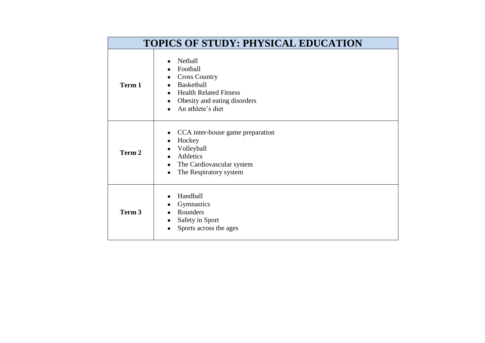| <b>TOPICS OF STUDY: PHYSICAL EDUCATION</b> |                                                                                                                                                                                  |
|--------------------------------------------|----------------------------------------------------------------------------------------------------------------------------------------------------------------------------------|
| Term 1                                     | Netball<br>$\bullet$<br>Football<br><b>Cross Country</b><br>٠<br><b>Basketball</b><br><b>Health Related Fitness</b><br>Obesity and eating disorders<br>An athlete's diet         |
| Term 2                                     | CCA inter-house game preparation<br>$\bullet$<br>Hockey<br>$\bullet$<br>Volleyball<br>Athletics<br>$\bullet$<br>The Cardiovascular system<br>$\bullet$<br>The Respiratory system |
| Term 3                                     | Handball<br>Gymnastics<br>Rounders<br>Safety in Sport<br>$\bullet$<br>Sports across the ages                                                                                     |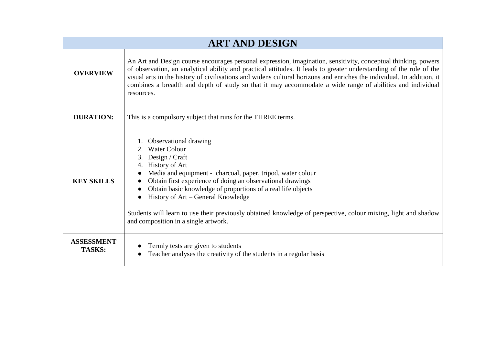| <b>ART AND DESIGN</b>              |                                                                                                                                                                                                                                                                                                                                                                                                                                                                                           |
|------------------------------------|-------------------------------------------------------------------------------------------------------------------------------------------------------------------------------------------------------------------------------------------------------------------------------------------------------------------------------------------------------------------------------------------------------------------------------------------------------------------------------------------|
| <b>OVERVIEW</b>                    | An Art and Design course encourages personal expression, imagination, sensitivity, conceptual thinking, powers<br>of observation, an analytical ability and practical attitudes. It leads to greater understanding of the role of the<br>visual arts in the history of civilisations and widens cultural horizons and enriches the individual. In addition, it<br>combines a breadth and depth of study so that it may accommodate a wide range of abilities and individual<br>resources. |
| <b>DURATION:</b>                   | This is a compulsory subject that runs for the THREE terms.                                                                                                                                                                                                                                                                                                                                                                                                                               |
| <b>KEY SKILLS</b>                  | 1. Observational drawing<br>2. Water Colour<br>3. Design / Craft<br>4. History of Art<br>Media and equipment - charcoal, paper, tripod, water colour<br>Obtain first experience of doing an observational drawings<br>Obtain basic knowledge of proportions of a real life objects<br>History of Art - General Knowledge<br>Students will learn to use their previously obtained knowledge of perspective, colour mixing, light and shadow<br>and composition in a single artwork.        |
| <b>ASSESSMENT</b><br><b>TASKS:</b> | Termly tests are given to students<br>Teacher analyses the creativity of the students in a regular basis                                                                                                                                                                                                                                                                                                                                                                                  |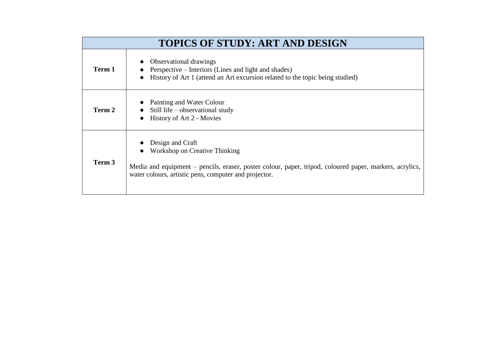| <b>TOPICS OF STUDY: ART AND DESIGN</b> |                                                                                                                                                                                                                       |
|----------------------------------------|-----------------------------------------------------------------------------------------------------------------------------------------------------------------------------------------------------------------------|
| Term 1                                 | <b>Observational drawings</b><br>Perspective – Interiors (Lines and light and shades)<br>History of Art 1 (attend an Art excursion related to the topic being studied)                                                |
| Term 2                                 | Painting and Water Colour<br>Still life – observational study<br>History of Art 2 - Movies                                                                                                                            |
| Term 3                                 | Design and Craft<br>Workshop on Creative Thinking<br>Media and equipment – pencils, eraser, poster colour, paper, tripod, coloured paper, markers, acrylics,<br>water colours, artistic pens, computer and projector. |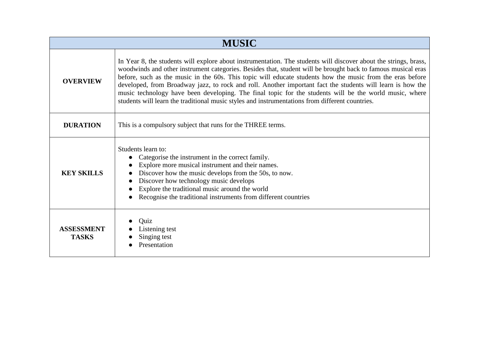| <b>MUSIC</b>                      |                                                                                                                                                                                                                                                                                                                                                                                                                                                                                                                                                                                                                                                                          |
|-----------------------------------|--------------------------------------------------------------------------------------------------------------------------------------------------------------------------------------------------------------------------------------------------------------------------------------------------------------------------------------------------------------------------------------------------------------------------------------------------------------------------------------------------------------------------------------------------------------------------------------------------------------------------------------------------------------------------|
| <b>OVERVIEW</b>                   | In Year 8, the students will explore about instrumentation. The students will discover about the strings, brass,<br>woodwinds and other instrument categories. Besides that, student will be brought back to famous musical eras<br>before, such as the music in the 60s. This topic will educate students how the music from the eras before<br>developed, from Broadway jazz, to rock and roll. Another important fact the students will learn is how the<br>music technology have been developing. The final topic for the students will be the world music, where<br>students will learn the traditional music styles and instrumentations from different countries. |
| <b>DURATION</b>                   | This is a compulsory subject that runs for the THREE terms.                                                                                                                                                                                                                                                                                                                                                                                                                                                                                                                                                                                                              |
| <b>KEY SKILLS</b>                 | Students learn to:<br>Categorise the instrument in the correct family.<br>Explore more musical instrument and their names.<br>Discover how the music develops from the 50s, to now.<br>Discover how technology music develops<br>Explore the traditional music around the world<br>Recognise the traditional instruments from different countries                                                                                                                                                                                                                                                                                                                        |
| <b>ASSESSMENT</b><br><b>TASKS</b> | Quiz<br>Listening test<br>Singing test<br>Presentation                                                                                                                                                                                                                                                                                                                                                                                                                                                                                                                                                                                                                   |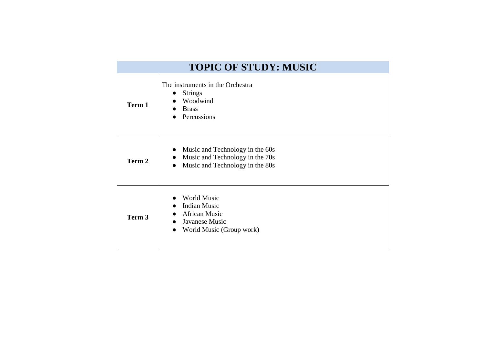| <b>TOPIC OF STUDY: MUSIC</b> |                                                                                                                                 |
|------------------------------|---------------------------------------------------------------------------------------------------------------------------------|
| Term 1                       | The instruments in the Orchestra<br><b>Strings</b><br>$\bullet$<br>Woodwind<br><b>Brass</b><br>Percussions                      |
| Term 2                       | Music and Technology in the 60s<br>Music and Technology in the 70s<br>$\bullet$<br>Music and Technology in the 80s<br>$\bullet$ |
| Term 3                       | <b>World Music</b><br><b>Indian Music</b><br><b>African Music</b><br>Javanese Music<br>World Music (Group work)                 |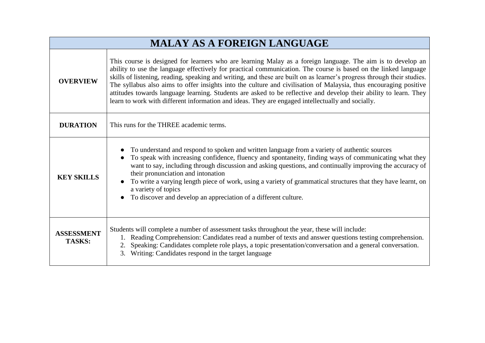| <b>MALAY AS A FOREIGN LANGUAGE</b> |                                                                                                                                                                                                                                                                                                                                                                                                                                                                                                                                                                                                                                                                                                          |
|------------------------------------|----------------------------------------------------------------------------------------------------------------------------------------------------------------------------------------------------------------------------------------------------------------------------------------------------------------------------------------------------------------------------------------------------------------------------------------------------------------------------------------------------------------------------------------------------------------------------------------------------------------------------------------------------------------------------------------------------------|
| <b>OVERVIEW</b>                    | This course is designed for learners who are learning Malay as a foreign language. The aim is to develop an<br>ability to use the language effectively for practical communication. The course is based on the linked language<br>skills of listening, reading, speaking and writing, and these are built on as learner's progress through their studies.<br>The syllabus also aims to offer insights into the culture and civilisation of Malaysia, thus encouraging positive<br>attitudes towards language learning. Students are asked to be reflective and develop their ability to learn. They<br>learn to work with different information and ideas. They are engaged intellectually and socially. |
| <b>DURATION</b>                    | This runs for the THREE academic terms.                                                                                                                                                                                                                                                                                                                                                                                                                                                                                                                                                                                                                                                                  |
| <b>KEY SKILLS</b>                  | To understand and respond to spoken and written language from a variety of authentic sources<br>To speak with increasing confidence, fluency and spontaneity, finding ways of communicating what they<br>want to say, including through discussion and asking questions, and continually improving the accuracy of<br>their pronunciation and intonation<br>To write a varying length piece of work, using a variety of grammatical structures that they have learnt, on<br>a variety of topics<br>To discover and develop an appreciation of a different culture.                                                                                                                                       |
| <b>ASSESSMENT</b><br><b>TASKS:</b> | Students will complete a number of assessment tasks throughout the year, these will include:<br>1. Reading Comprehension: Candidates read a number of texts and answer questions testing comprehension.<br>2. Speaking: Candidates complete role plays, a topic presentation/conversation and a general conversation.<br>3. Writing: Candidates respond in the target language                                                                                                                                                                                                                                                                                                                           |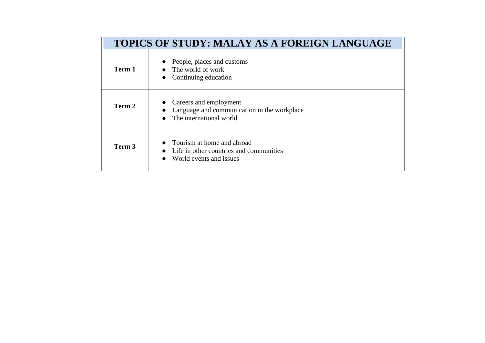| <b>TOPICS OF STUDY: MALAY AS A FOREIGN LANGUAGE</b> |                                                                                                  |
|-----------------------------------------------------|--------------------------------------------------------------------------------------------------|
| Term 1                                              | People, places and customs<br>$\bullet$ The world of work<br>Continuing education                |
| Term 2                                              | Careers and employment<br>Language and communication in the workplace<br>The international world |
| Term 3                                              | Tourism at home and abroad<br>Life in other countries and communities<br>World events and issues |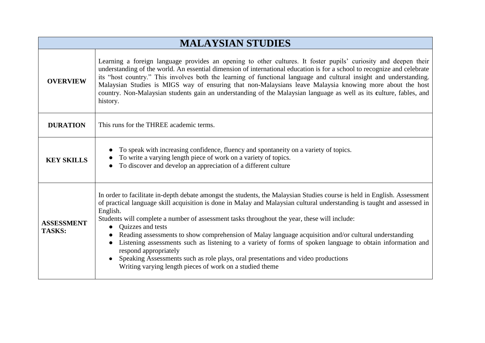| <b>MALAYSIAN STUDIES</b>           |                                                                                                                                                                                                                                                                                                                                                                                                                                                                                                                                                                                                                                                                                                                                                                                                    |
|------------------------------------|----------------------------------------------------------------------------------------------------------------------------------------------------------------------------------------------------------------------------------------------------------------------------------------------------------------------------------------------------------------------------------------------------------------------------------------------------------------------------------------------------------------------------------------------------------------------------------------------------------------------------------------------------------------------------------------------------------------------------------------------------------------------------------------------------|
| <b>OVERVIEW</b>                    | Learning a foreign language provides an opening to other cultures. It foster pupils' curiosity and deepen their<br>understanding of the world. An essential dimension of international education is for a school to recognize and celebrate<br>its "host country." This involves both the learning of functional language and cultural insight and understanding.<br>Malaysian Studies is MIGS way of ensuring that non-Malaysians leave Malaysia knowing more about the host<br>country. Non-Malaysian students gain an understanding of the Malaysian language as well as its culture, fables, and<br>history.                                                                                                                                                                                   |
| <b>DURATION</b>                    | This runs for the THREE academic terms.                                                                                                                                                                                                                                                                                                                                                                                                                                                                                                                                                                                                                                                                                                                                                            |
| <b>KEY SKILLS</b>                  | To speak with increasing confidence, fluency and spontaneity on a variety of topics.<br>To write a varying length piece of work on a variety of topics.<br>To discover and develop an appreciation of a different culture                                                                                                                                                                                                                                                                                                                                                                                                                                                                                                                                                                          |
| <b>ASSESSMENT</b><br><b>TASKS:</b> | In order to facilitate in-depth debate amongst the students, the Malaysian Studies course is held in English. Assessment<br>of practical language skill acquisition is done in Malay and Malaysian cultural understanding is taught and assessed in<br>English.<br>Students will complete a number of assessment tasks throughout the year, these will include:<br>Quizzes and tests<br>$\bullet$<br>Reading assessments to show comprehension of Malay language acquisition and/or cultural understanding<br>Listening assessments such as listening to a variety of forms of spoken language to obtain information and<br>respond appropriately<br>Speaking Assessments such as role plays, oral presentations and video productions<br>Writing varying length pieces of work on a studied theme |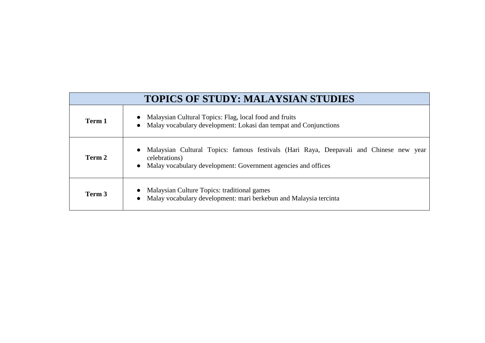| <b>TOPICS OF STUDY: MALAYSIAN STUDIES</b> |                                                                                                                                                                                       |
|-------------------------------------------|---------------------------------------------------------------------------------------------------------------------------------------------------------------------------------------|
| Term 1                                    | Malaysian Cultural Topics: Flag, local food and fruits<br>Malay vocabulary development: Lokasi dan tempat and Conjunctions                                                            |
| Term 2                                    | Malaysian Cultural Topics: famous festivals (Hari Raya, Deepavali and Chinese new year<br>celebrations)<br>Malay vocabulary development: Government agencies and offices<br>$\bullet$ |
| Term 3                                    | Malaysian Culture Topics: traditional games<br>Malay vocabulary development: mari berkebun and Malaysia tercinta                                                                      |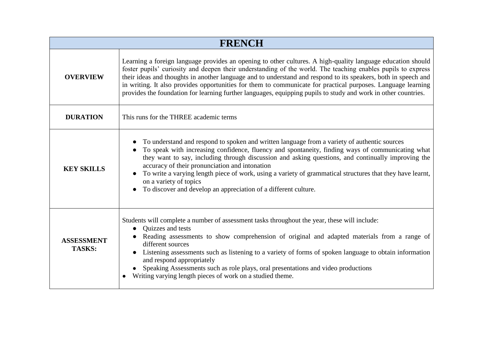| <b>FRENCH</b>                      |                                                                                                                                                                                                                                                                                                                                                                                                                                                                                                                                                                                 |
|------------------------------------|---------------------------------------------------------------------------------------------------------------------------------------------------------------------------------------------------------------------------------------------------------------------------------------------------------------------------------------------------------------------------------------------------------------------------------------------------------------------------------------------------------------------------------------------------------------------------------|
| <b>OVERVIEW</b>                    | Learning a foreign language provides an opening to other cultures. A high-quality language education should<br>foster pupils' curiosity and deepen their understanding of the world. The teaching enables pupils to express<br>their ideas and thoughts in another language and to understand and respond to its speakers, both in speech and<br>in writing. It also provides opportunities for them to communicate for practical purposes. Language learning<br>provides the foundation for learning further languages, equipping pupils to study and work in other countries. |
| <b>DURATION</b>                    | This runs for the THREE academic terms                                                                                                                                                                                                                                                                                                                                                                                                                                                                                                                                          |
| <b>KEY SKILLS</b>                  | To understand and respond to spoken and written language from a variety of authentic sources<br>To speak with increasing confidence, fluency and spontaneity, finding ways of communicating what<br>they want to say, including through discussion and asking questions, and continually improving the<br>accuracy of their pronunciation and intonation<br>To write a varying length piece of work, using a variety of grammatical structures that they have learnt,<br>on a variety of topics<br>To discover and develop an appreciation of a different culture.<br>$\bullet$ |
| <b>ASSESSMENT</b><br><b>TASKS:</b> | Students will complete a number of assessment tasks throughout the year, these will include:<br>Quizzes and tests<br>Reading assessments to show comprehension of original and adapted materials from a range of<br>different sources<br>Listening assessments such as listening to a variety of forms of spoken language to obtain information<br>and respond appropriately<br>Speaking Assessments such as role plays, oral presentations and video productions<br>Writing varying length pieces of work on a studied theme.                                                  |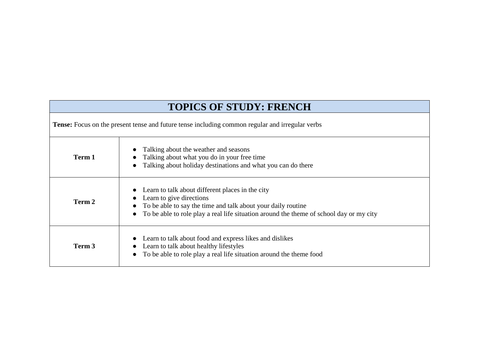# **TOPICS OF STUDY: FRENCH**

**Tense:** Focus on the present tense and future tense including common regular and irregular verbs

| Term 1 | Talking about the weather and seasons<br>Talking about what you do in your free time<br>Talking about holiday destinations and what you can do there                                                                                        |
|--------|---------------------------------------------------------------------------------------------------------------------------------------------------------------------------------------------------------------------------------------------|
| Term 2 | Learn to talk about different places in the city<br>Learn to give directions<br>• To be able to say the time and talk about your daily routine<br>• To be able to role play a real life situation around the theme of school day or my city |
| Term 3 | Learn to talk about food and express likes and dislikes<br>Learn to talk about healthy lifestyles<br>To be able to role play a real life situation around the theme food                                                                    |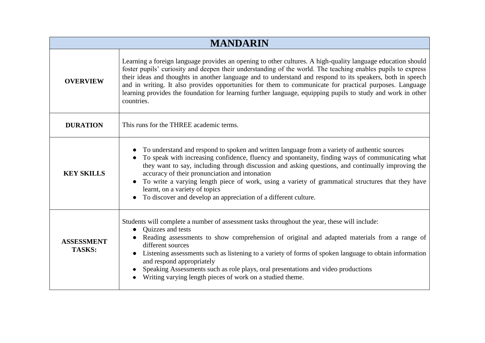| <b>MANDARIN</b>                    |                                                                                                                                                                                                                                                                                                                                                                                                                                                                                                                                                                                   |
|------------------------------------|-----------------------------------------------------------------------------------------------------------------------------------------------------------------------------------------------------------------------------------------------------------------------------------------------------------------------------------------------------------------------------------------------------------------------------------------------------------------------------------------------------------------------------------------------------------------------------------|
| <b>OVERVIEW</b>                    | Learning a foreign language provides an opening to other cultures. A high-quality language education should<br>foster pupils' curiosity and deepen their understanding of the world. The teaching enables pupils to express<br>their ideas and thoughts in another language and to understand and respond to its speakers, both in speech<br>and in writing. It also provides opportunities for them to communicate for practical purposes. Language<br>learning provides the foundation for learning further language, equipping pupils to study and work in other<br>countries. |
| <b>DURATION</b>                    | This runs for the THREE academic terms.                                                                                                                                                                                                                                                                                                                                                                                                                                                                                                                                           |
| <b>KEY SKILLS</b>                  | To understand and respond to spoken and written language from a variety of authentic sources<br>To speak with increasing confidence, fluency and spontaneity, finding ways of communicating what<br>they want to say, including through discussion and asking questions, and continually improving the<br>accuracy of their pronunciation and intonation<br>To write a varying length piece of work, using a variety of grammatical structures that they have<br>learnt, on a variety of topics<br>To discover and develop an appreciation of a different culture.                |
| <b>ASSESSMENT</b><br><b>TASKS:</b> | Students will complete a number of assessment tasks throughout the year, these will include:<br>Quizzes and tests<br>Reading assessments to show comprehension of original and adapted materials from a range of<br>different sources<br>Listening assessments such as listening to a variety of forms of spoken language to obtain information<br>and respond appropriately<br>Speaking Assessments such as role plays, oral presentations and video productions<br>Writing varying length pieces of work on a studied theme.                                                    |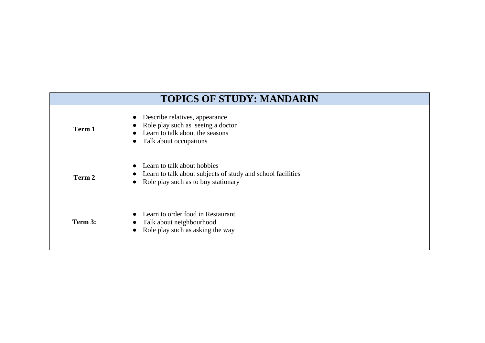| <b>TOPICS OF STUDY: MANDARIN</b> |                                                                                                                                                |
|----------------------------------|------------------------------------------------------------------------------------------------------------------------------------------------|
| Term 1                           | Describe relatives, appearance<br>Role play such as seeing a doctor<br>Learn to talk about the seasons<br>Talk about occupations<br>$\bullet$  |
| Term 2                           | Learn to talk about hobbies<br>Learn to talk about subjects of study and school facilities<br>Role play such as to buy stationary<br>$\bullet$ |
| Term 3:                          | Learn to order food in Restaurant<br>Talk about neighbourhood<br>Role play such as asking the way<br>$\bullet$                                 |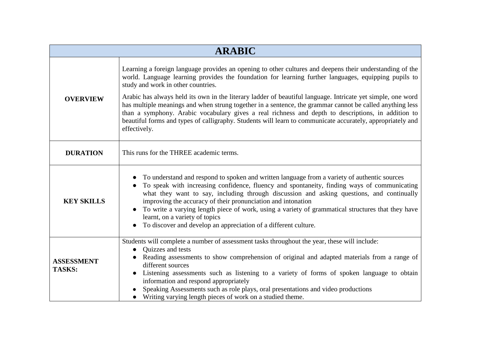| <b>ARABIC</b>                      |                                                                                                                                                                                                                                                                                                                                                                                                                                                                                                                                                                                                                                                                                                                       |
|------------------------------------|-----------------------------------------------------------------------------------------------------------------------------------------------------------------------------------------------------------------------------------------------------------------------------------------------------------------------------------------------------------------------------------------------------------------------------------------------------------------------------------------------------------------------------------------------------------------------------------------------------------------------------------------------------------------------------------------------------------------------|
| <b>OVERVIEW</b>                    | Learning a foreign language provides an opening to other cultures and deepens their understanding of the<br>world. Language learning provides the foundation for learning further languages, equipping pupils to<br>study and work in other countries.<br>Arabic has always held its own in the literary ladder of beautiful language. Intricate yet simple, one word<br>has multiple meanings and when strung together in a sentence, the grammar cannot be called anything less<br>than a symphony. Arabic vocabulary gives a real richness and depth to descriptions, in addition to<br>beautiful forms and types of calligraphy. Students will learn to communicate accurately, appropriately and<br>effectively. |
| <b>DURATION</b>                    | This runs for the THREE academic terms.                                                                                                                                                                                                                                                                                                                                                                                                                                                                                                                                                                                                                                                                               |
| <b>KEY SKILLS</b>                  | To understand and respond to spoken and written language from a variety of authentic sources<br>To speak with increasing confidence, fluency and spontaneity, finding ways of communicating<br>what they want to say, including through discussion and asking questions, and continually<br>improving the accuracy of their pronunciation and intonation<br>To write a varying length piece of work, using a variety of grammatical structures that they have<br>learnt, on a variety of topics<br>To discover and develop an appreciation of a different culture.                                                                                                                                                    |
| <b>ASSESSMENT</b><br><b>TASKS:</b> | Students will complete a number of assessment tasks throughout the year, these will include:<br>Quizzes and tests<br>Reading assessments to show comprehension of original and adapted materials from a range of<br>different sources<br>Listening assessments such as listening to a variety of forms of spoken language to obtain<br>information and respond appropriately<br>Speaking Assessments such as role plays, oral presentations and video productions<br>Writing varying length pieces of work on a studied theme.                                                                                                                                                                                        |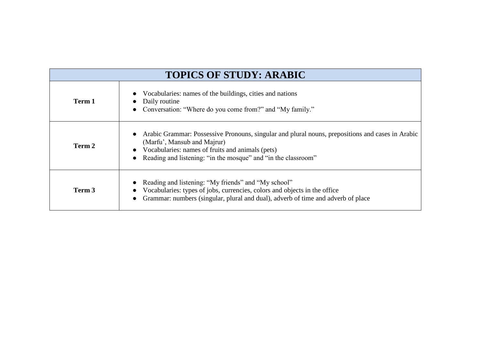| <b>TOPICS OF STUDY: ARABIC</b> |                                                                                                                                                                                                                                                      |
|--------------------------------|------------------------------------------------------------------------------------------------------------------------------------------------------------------------------------------------------------------------------------------------------|
| Term 1                         | Vocabularies: names of the buildings, cities and nations<br>Daily routine<br>Conversation: "Where do you come from?" and "My family."                                                                                                                |
| Term 2                         | Arabic Grammar: Possessive Pronouns, singular and plural nouns, prepositions and cases in Arabic<br>(Marfu', Mansub and Majrur)<br>Vocabularies: names of fruits and animals (pets)<br>Reading and listening: "in the mosque" and "in the classroom" |
| Term 3                         | Reading and listening: "My friends" and "My school"<br>Vocabularies: types of jobs, currencies, colors and objects in the office<br>Grammar: numbers (singular, plural and dual), adverb of time and adverb of place                                 |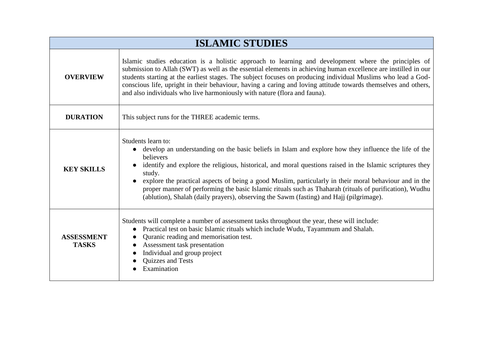| <b>ISLAMIC STUDIES</b>            |                                                                                                                                                                                                                                                                                                                                                                                                                                                                                                                                                                                                           |
|-----------------------------------|-----------------------------------------------------------------------------------------------------------------------------------------------------------------------------------------------------------------------------------------------------------------------------------------------------------------------------------------------------------------------------------------------------------------------------------------------------------------------------------------------------------------------------------------------------------------------------------------------------------|
| <b>OVERVIEW</b>                   | Islamic studies education is a holistic approach to learning and development where the principles of<br>submission to Allah (SWT) as well as the essential elements in achieving human excellence are instilled in our<br>students starting at the earliest stages. The subject focuses on producing individual Muslims who lead a God-<br>conscious life, upright in their behaviour, having a caring and loving attitude towards themselves and others,<br>and also individuals who live harmoniously with nature (flora and fauna).                                                                    |
| <b>DURATION</b>                   | This subject runs for the THREE academic terms.                                                                                                                                                                                                                                                                                                                                                                                                                                                                                                                                                           |
| <b>KEY SKILLS</b>                 | Students learn to:<br>develop an understanding on the basic beliefs in Islam and explore how they influence the life of the<br>$\bullet$<br>believers<br>identify and explore the religious, historical, and moral questions raised in the Islamic scriptures they<br>study.<br>explore the practical aspects of being a good Muslim, particularly in their moral behaviour and in the<br>$\bullet$<br>proper manner of performing the basic Islamic rituals such as Thaharah (rituals of purification), Wudhu<br>(ablution), Shalah (daily prayers), observing the Sawm (fasting) and Hajj (pilgrimage). |
| <b>ASSESSMENT</b><br><b>TASKS</b> | Students will complete a number of assessment tasks throughout the year, these will include:<br>Practical test on basic Islamic rituals which include Wudu, Tayammum and Shalah.<br>$\bullet$<br>Quranic reading and memorisation test.<br>$\bullet$<br>Assessment task presentation<br>Individual and group project<br>Quizzes and Tests<br>Examination                                                                                                                                                                                                                                                  |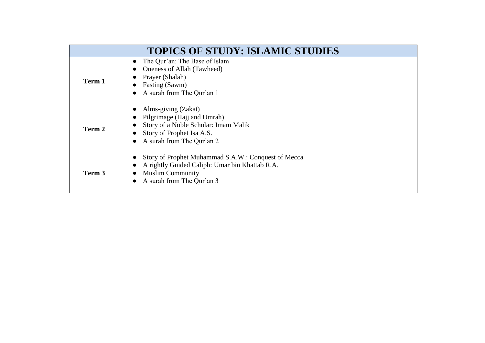|        | <b>TOPICS OF STUDY: ISLAMIC STUDIES</b>                                                                                                                       |
|--------|---------------------------------------------------------------------------------------------------------------------------------------------------------------|
| Term 1 | The Qur'an: The Base of Islam<br>Oneness of Allah (Tawheed)<br>Prayer (Shalah)<br>Fasting (Sawm)<br>A surah from The Qur'an 1                                 |
| Term 2 | Alms-giving (Zakat)<br>Pilgrimage (Hajj and Umrah)<br>Story of a Noble Scholar: Imam Malik<br>Story of Prophet Isa A.S.<br>A surah from The Qur'an 2          |
| Term 3 | Story of Prophet Muhammad S.A.W.: Conquest of Mecca<br>A rightly Guided Caliph: Umar bin Khattab R.A.<br><b>Muslim Community</b><br>A surah from The Qur'an 3 |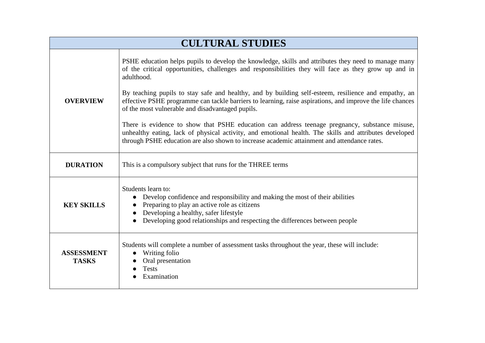| <b>CULTURAL STUDIES</b>           |                                                                                                                                                                                                                                                                                                                                                                                                                                                                                                                                                                                                                                                                                                                                                                                                                |
|-----------------------------------|----------------------------------------------------------------------------------------------------------------------------------------------------------------------------------------------------------------------------------------------------------------------------------------------------------------------------------------------------------------------------------------------------------------------------------------------------------------------------------------------------------------------------------------------------------------------------------------------------------------------------------------------------------------------------------------------------------------------------------------------------------------------------------------------------------------|
| <b>OVERVIEW</b>                   | PSHE education helps pupils to develop the knowledge, skills and attributes they need to manage many<br>of the critical opportunities, challenges and responsibilities they will face as they grow up and in<br>adulthood.<br>By teaching pupils to stay safe and healthy, and by building self-esteem, resilience and empathy, an<br>effective PSHE programme can tackle barriers to learning, raise aspirations, and improve the life chances<br>of the most vulnerable and disadvantaged pupils.<br>There is evidence to show that PSHE education can address teenage pregnancy, substance misuse,<br>unhealthy eating, lack of physical activity, and emotional health. The skills and attributes developed<br>through PSHE education are also shown to increase academic attainment and attendance rates. |
| <b>DURATION</b>                   | This is a compulsory subject that runs for the THREE terms                                                                                                                                                                                                                                                                                                                                                                                                                                                                                                                                                                                                                                                                                                                                                     |
| <b>KEY SKILLS</b>                 | Students learn to:<br>Develop confidence and responsibility and making the most of their abilities<br>$\bullet$<br>• Preparing to play an active role as citizens<br>Developing a healthy, safer lifestyle<br>Developing good relationships and respecting the differences between people                                                                                                                                                                                                                                                                                                                                                                                                                                                                                                                      |
| <b>ASSESSMENT</b><br><b>TASKS</b> | Students will complete a number of assessment tasks throughout the year, these will include:<br>Writing folio<br>Oral presentation<br><b>Tests</b><br>Examination                                                                                                                                                                                                                                                                                                                                                                                                                                                                                                                                                                                                                                              |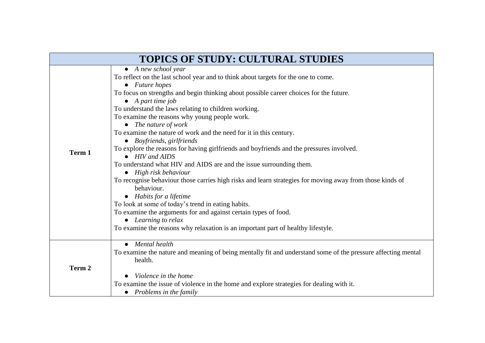| <b>TOPICS OF STUDY: CULTURAL STUDIES</b> |                                                                                                                                                                                                                                                                                                                                                                                                                                                                                                                                                                                                                                                                                                                                                                                                                                                                                                                                                                                                                                                                                                                                       |  |
|------------------------------------------|---------------------------------------------------------------------------------------------------------------------------------------------------------------------------------------------------------------------------------------------------------------------------------------------------------------------------------------------------------------------------------------------------------------------------------------------------------------------------------------------------------------------------------------------------------------------------------------------------------------------------------------------------------------------------------------------------------------------------------------------------------------------------------------------------------------------------------------------------------------------------------------------------------------------------------------------------------------------------------------------------------------------------------------------------------------------------------------------------------------------------------------|--|
| Term 1                                   | $\bullet$ A new school year<br>To reflect on the last school year and to think about targets for the one to come.<br>$\bullet$ Future hopes<br>To focus on strengths and begin thinking about possible career choices for the future.<br>$\bullet$ A part time job<br>To understand the laws relating to children working.<br>To examine the reasons why young people work.<br>$\bullet$ The nature of work<br>To examine the nature of work and the need for it in this century.<br>• Boyfriends, girlfriends<br>To explore the reasons for having girlfriends and boyfriends and the pressures involved.<br>$\bullet$ HIV and AIDS<br>To understand what HIV and AIDS are and the issue surrounding them.<br>$\bullet$ High risk behaviour<br>To recognise behaviour those carries high risks and learn strategies for moving away from those kinds of<br>behaviour.<br>• Habits for a lifetime<br>To look at some of today's trend in eating habits.<br>To examine the arguments for and against certain types of food.<br>• Learning to relax<br>To examine the reasons why relaxation is an important part of healthy lifestyle. |  |
| Term 2                                   | Mental health<br>To examine the nature and meaning of being mentally fit and understand some of the pressure affecting mental<br>health.<br>Violence in the home<br>To examine the issue of violence in the home and explore strategies for dealing with it.<br>• Problems in the family                                                                                                                                                                                                                                                                                                                                                                                                                                                                                                                                                                                                                                                                                                                                                                                                                                              |  |